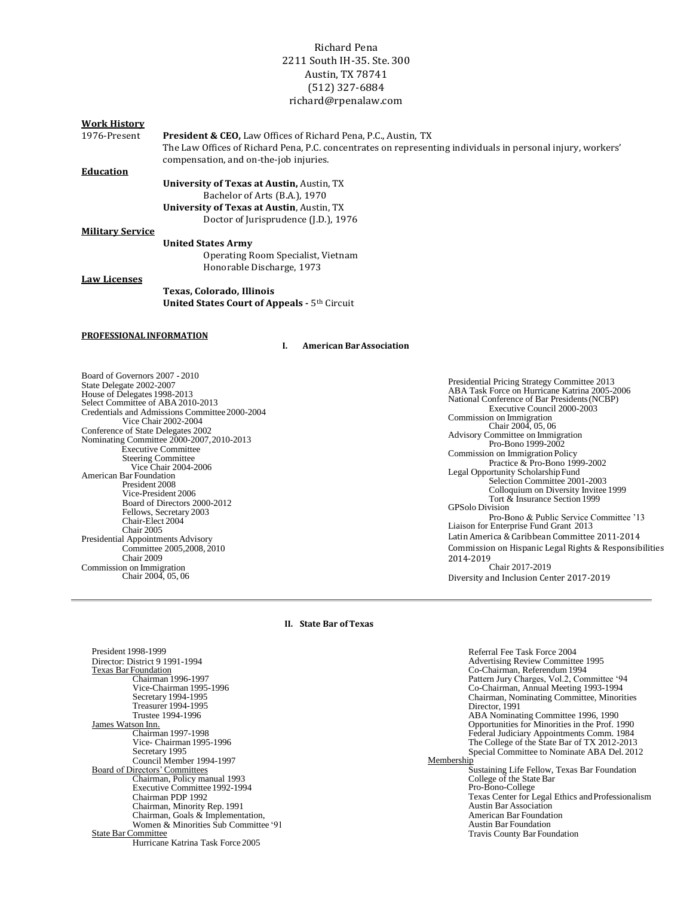# Richard Pena 2211 South IH-35. Ste. 300 Austin, TX 78741 (512) 327‐6884 [richard@rpenalaw.com](mailto:richard@rpenalaw.com)

#### **Work History**

1976‐Present **President & CEO,** Law Offices of Richard Pena, P.C., Austin, TX The Law Offices of Richard Pena, P.C. concentrates on representing individuals in personal injury, workers' compensation, and on‐the‐job injuries.

### **Education**

**University of Texas at Austin,** Austin, TX Bachelor of Arts (B.A.), 1970 **University of Texas at Austin**, Austin, TX Doctor of Jurisprudence (J.D.), 1976

## **Military Service**

**United States Army** Operating Room Specialist, Vietnam Honorable Discharge, 1973

### **Law Licenses**

**Texas, Colorado, Illinois United States Court of Appeals -** 5th Circuit

#### **PROFESSIONAL INFORMATION**

**I. American BarAssociation**

Board of Governors 2007 - 2010 State Delegate 2002-2007 House of Delegates 1998-2013 Select Committee of ABA2010-2013 Credentials and Admissions Committee2000-2004 Vice Chair 2002-2004 Conference of State Delegates 2002 Nominating Committee 2000-2007,2010-2013 Executive Committee Steering Committee Vice Chair 2004-2006 American Bar Foundation President 2008 Vice-President 2006 Board of Directors 2000-2012 Fellows, Secretary 2003 Chair-Elect 2004 Chair 2005 Presidential Appointments Advisory Committee 2005,2008, 2010 Chair 2009 Commission on Immigration Chair 2004, 05, 06

Presidential Pricing Strategy Committee 2013 ABA Task Force on Hurricane Katrina 2005-2006 National Conference of Bar Presidents(NCBP) Executive Council 2000-2003 Commission on Immigration Chair 2004, 05, 06 Advisory Committee on Immigration Pro-Bono 1999-2002 Commission on Immigration Policy Practice & Pro-Bono 1999-2002 Legal Opportunity ScholarshipFund Selection Committee 2001-2003 Colloquium on Diversity Invitee 1999 Tort & Insurance Section 1999 GPSolo Division Pro-Bono & Public Service Committee '13 Liaison for Enterprise Fund Grant 2013 Latin America & Caribbean Committee 2011‐2014 Commission on Hispanic Legal Rights & Responsibilities 2014-2019 Chair 2017-2019 Diversity and Inclusion Center 2017-2019

#### **II. State Bar ofTexas**

President 1998-1999 Director: District 9 1991-1994 Texas Bar Foundation Chairman 1996-1997 Vice-Chairman 1995-1996 Secretary 1994-1995 Treasurer 1994-1995 Trustee 1994-1996 James Watson Inn. Chairman 1997-1998 Vice- Chairman 1995-1996 Secretary 1995 Council Member 1994-1997 Board of Directors'Committees Chairman, Policy manual 1993 Executive Committee 1992-1994 Chairman PDP 1992 Chairman, Minority Rep. 1991 Chairman, Goals & Implementation, Women & Minorities Sub Committee '91 State Bar Committee Hurricane Katrina Task Force 2005 Referral Fee Task Force 2004 Advertising Review Committee 1995 Co-Chairman, Referendum1994 Pattern Jury Charges, Vol.2, Committee '94 Co-Chairman, Annual Meeting 1993-1994 Chairman, Nominating Committee, Minorities Director, 1991 ABA Nominating Committee 1996, 1990 Opportunities for Minorities in the Prof. 1990 Federal Judiciary Appointments Comm. 1984 The College of the State Bar of TX 2012-2013 Special Committee to Nominate ABA Del. 2012 Membership Sustaining Life Fellow, Texas Bar Foundation College of the State Bar Pro-Bono-College Texas Center for Legal Ethics andProfessionalism Austin Bar Association American Bar Foundation Austin Bar Foundation Travis County Bar Foundation